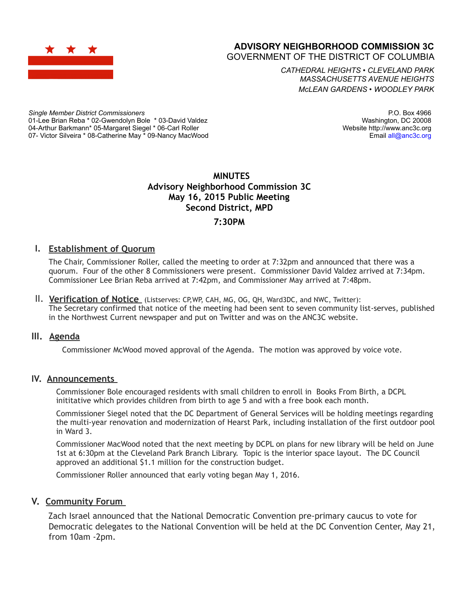

# **ADVISORY NEIGHBORHOOD COMMISSION 3C**

GOVERNMENT OF THE DISTRICT OF COLUMBIA

*CATHEDRAL HEIGHTS* • *CLEVELAND PARK MASSACHUSETTS AVENUE HEIGHTS McLEAN GARDENS* • *WOODLEY PARK*

*Single Member District Commissioners* 01-Lee Brian Reba \* 02-Gwendolyn Bole \* 03-David Valdez 04-Arthur Barkmann\* 05-Margaret Siegel \* 06-Carl Roller 07- Victor Silveira \* 08-Catherine May \* 09-Nancy MacWood

P.O. Box 4966 Washington, DC 20008 Website http://www.anc3c.org Email all@anc3c.org

### **MINUTES Advisory Neighborhood Commission 3C May 16, 2015 Public Meeting Second District, MPD 7:30PM**

### **I. Establishment of Quorum**

The Chair, Commissioner Roller, called the meeting to order at 7:32pm and announced that there was a quorum. Four of the other 8 Commissioners were present. Commissioner David Valdez arrived at 7:34pm. Commissioner Lee Brian Reba arrived at 7:42pm, and Commissioner May arrived at 7:48pm.

II. **Verification of Notice** (Listserves: CP,WP, CAH, MG, OG, QH, Ward3DC, and NWC, Twitter): The Secretary confirmed that notice of the meeting had been sent to seven community list-serves, published in the Northwest Current newspaper and put on Twitter and was on the ANC3C website.

#### **III. Agenda**

Commissioner McWood moved approval of the Agenda. The motion was approved by voice vote.

#### **IV. Announcements**

Commissioner Bole encouraged residents with small children to enroll in Books From Birth, a DCPL inititative which provides children from birth to age 5 and with a free book each month.

Commissioner Siegel noted that the DC Department of General Services will be holding meetings regarding the multi-year renovation and modernization of Hearst Park, including installation of the first outdoor pool in Ward 3.

Commissioner MacWood noted that the next meeting by DCPL on plans for new library will be held on June 1st at 6:30pm at the Cleveland Park Branch Library. Topic is the interior space layout. The DC Council approved an additional \$1.1 million for the construction budget.

Commissioner Roller announced that early voting began May 1, 2016.

#### **V. Community Forum**

Zach Israel announced that the National Democratic Convention pre-primary caucus to vote for Democratic delegates to the National Convention will be held at the DC Convention Center, May 21, from 10am -2pm.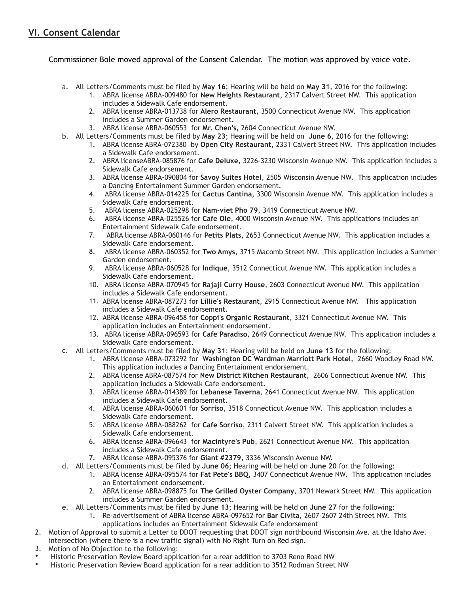## **VI. Consent Calendar**

Commissioner Bole moved approval of the Consent Calendar. The motion was approved by voice vote.

- a. All Letters/Comments must be filed by **May 16**; Hearing will be held on **May 31**, 2016 for the following:
	- 1. ABRA license ABRA-009480 for **New Heights Restaurant**, 2317 Calvert Street NW. This application includes a Sidewalk Cafe endorsement.
	- 2. ABRA license ABRA-013738 for **Alero Restaurant**, 3500 Connecticut Avenue NW. This application includes a Summer Garden endorsement.
	- 3. ABRA license ABRA-060553 for **Mr. Chen's,** 2604 Connecticut Avenue NW.
- b. All Letters/Comments must be filed by **May 23**; Hearing will be held on **June 6**, 2016 for the following:
	- 1. ABRA license ABRA-072380 by **Open City Restaurant**, 2331 Calvert Street NW. This application includes a Sidewalk Cafe endorsement.
	- 2. ABRA licenseABRA-085876 for **Cafe Deluxe**, 3226-3230 Wisconsin Avenue NW. This application includes a Sidewalk Cafe endorsement.
	- 3. ABRA license ABRA-090804 for **Savoy Suites Hotel**, 2505 Wisconsin Avenue NW. This application includes a Dancing Entertainment Summer Garden endorsement.
	- 4. ABRA license ABRA-014225 for **Cactus Cantina**, 3300 Wisconsin Avenue NW. This application includes a Sidewalk Cafe endorsement.
	- 5. ABRA license ABRA-025298 for **Nam-viet Pho 79**, 3419 Connecticut Avenue NW.
	- 6. ABRA license ABRA-025526 for **Cafe Ole**, 4000 Wisconsin Avenue NW. This applications includes an Entertainment Sidewalk Cafe endorsement.
	- 7. ABRA license ABRA-060146 for **Petits Plats**, 2653 Connecticut Avenue NW. This application includes a Sidewalk Cafe endorsement.
	- 8. ABRA license ABRA-060352 for **Two Amys**, 3715 Macomb Street NW. This application includes a Summer Garden endorsement.
	- 9. ABRA license ABRA-060528 for **Indique**, 3512 Connecticut Avenue NW. This application includes a Sidewalk Cafe endorsement.
	- 10. ABRA license ABRA-070945 for **Rajaji Curry House**, 2603 Connecticut Avenue NW. This application includes a Sidewalk Cafe endorsement.
	- 11. ABRA license ABRA-087273 for **Lillie's Restaurant**, 2915 Connecticut Avenue NW. This application includes a Sidewalk Cafe endorsement.
	- 12. ABRA license ABRA-096458 for **Coppi's Organic Restaurant**, 3321 Connecticut Avenue NW. This application includes an Entertainment endorsement.
	- 13. ABRA license ABRA-096593 for **Cafe Paradiso**, 2649 Connecticut Avenue NW. This application includes a Sidewalk Cafe endorsement.
- c. All Letters/Comments must be filed by **May 31**; Hearing will be held on **June 13** for the following:
	- 1. ABRA license ABRA-073292 for **Washington DC Wardman Marriott Park Hotel**, 2660 Woodley Road NW. This application includes a Dancing Entertainment endorsement.
	- 2. ABRA license ABRA-087574 for **New District Kitchen Restaurant**, 2606 Connecticut Avenue NW. This application includes a Sidewalk Cafe endorsement.
	- 3. ABRA license ABRA-014389 for **Lebanese Taverna**, 2641 Connecticut Avenue NW. This application includes a Sidewalk Cafe endorsement.
	- 4. ABRA license ABRA-060601 for **Sorriso**, 3518 Connecticut Avenue NW. This application includes a Sidewalk Cafe endorsement.
	- 5. ABRA license ABRA-088262 for **Cafe Sorriso**, 2311 Calvert Street NW. This application includes a Sidewalk Cafe endorsement.
	- 6. ABRA license ABRA-096643 for **Macintyre's Pub**, 2621 Connecticut Avenue NW. This application includes a Sidewalk Cafe endorsement.
	- 7. ABRA license ABRA-095376 for **Giant #2379**, 3336 Wisconsin Avenue NW.
- d. All Letters/Comments must be filed by **June 06**; Hearing will be held on **June 20** for the following:
	- 1. ABRA license ABRA-095574 for **Fat Pete's BBQ**, 3407 Connecticut Avenue NW. This application includes an Entertainment endorsement.
	- 2. ABRA license ABRA-098875 for **The Grilled Oyster Company**, 3701 Newark Street NW. This application includes a Summer Garden endorsement.
- e. All Letters/Comments must be filed by **June 13**; Hearing will be held on **June 27** for the following:
	- 1. Re-advertisement of ABRA license ABRA-097652 for **Bar Civita**, 2607-2607 24th Street NW. This applications includes an Entertainment Sidewalk Cafe endorsement
- 2. Motion of Approval to submit a Letter to DDOT requesting that DDOT sign northbound Wisconsin Ave. at the Idaho Ave. intersection (where there is a new traffic signal) with No Right Turn on Red sign.
- 3. Motion of No Objection to the following:
- Historic Preservation Review Board application for a rear addition to 3703 Reno Road NW
- Historic Preservation Review Board application for a rear addition to 3512 Rodman Street NW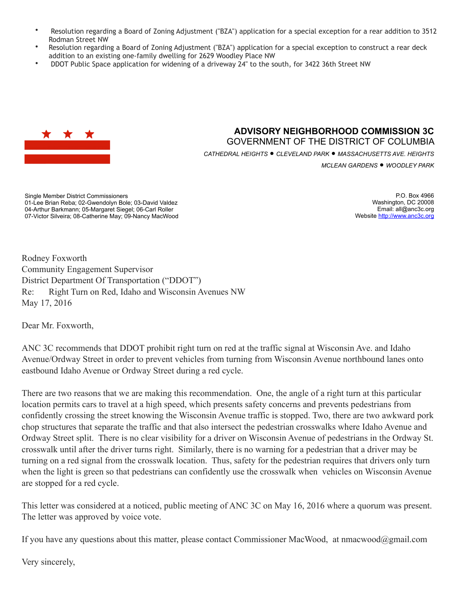- Resolution regarding a Board of Zoning Adjustment ("BZA") application for a special exception for a rear addition to 3512 Rodman Street NW
- Resolution regarding a Board of Zoning Adjustment ("BZA") application for a special exception to construct a rear deck addition to an existing one-family dwelling for 2629 Woodley Place NW
- DDOT Public Space application for widening of a driveway 24" to the south, for 3422 36th Street NW



### **ADVISORY NEIGHBORHOOD COMMISSION 3C** GOVERNMENT OF THE DISTRICT OF COLUMBIA *CATHEDRAL HEIGHTS* • *CLEVELAND PARK* • *MASSACHUSETTS AVE. HEIGHTS*

*MCLEAN GARDENS* • *WOODLEY PARK*

Single Member District Commissioners 01-Lee Brian Reba; 02-Gwendolyn Bole; 03-David Valdez 04-Arthur Barkmann; 05-Margaret Siegel; 06-Carl Roller 07-Victor Silveira; 08-Catherine May; 09-Nancy MacWood

P.O. Box 4966 Washington, DC 20008 Email: all@anc3c.org Website http://www.anc3c.org

Rodney Foxworth Community Engagement Supervisor District Department Of Transportation ("DDOT") Re: Right Turn on Red, Idaho and Wisconsin Avenues NW May 17, 2016

Dear Mr. Foxworth,

ANC 3C recommends that DDOT prohibit right turn on red at the traffic signal at Wisconsin Ave. and Idaho Avenue/Ordway Street in order to prevent vehicles from turning from Wisconsin Avenue northbound lanes onto eastbound Idaho Avenue or Ordway Street during a red cycle.

There are two reasons that we are making this recommendation. One, the angle of a right turn at this particular location permits cars to travel at a high speed, which presents safety concerns and prevents pedestrians from confidently crossing the street knowing the Wisconsin Avenue traffic is stopped. Two, there are two awkward pork chop structures that separate the traffic and that also intersect the pedestrian crosswalks where Idaho Avenue and Ordway Street split. There is no clear visibility for a driver on Wisconsin Avenue of pedestrians in the Ordway St. crosswalk until after the driver turns right. Similarly, there is no warning for a pedestrian that a driver may be turning on a red signal from the crosswalk location. Thus, safety for the pedestrian requires that drivers only turn when the light is green so that pedestrians can confidently use the crosswalk when vehicles on Wisconsin Avenue are stopped for a red cycle.

This letter was considered at a noticed, public meeting of ANC 3C on May 16, 2016 where a quorum was present. The letter was approved by voice vote.

If you have any questions about this matter, please contact Commissioner MacWood, at nmacwood@gmail.com

Very sincerely,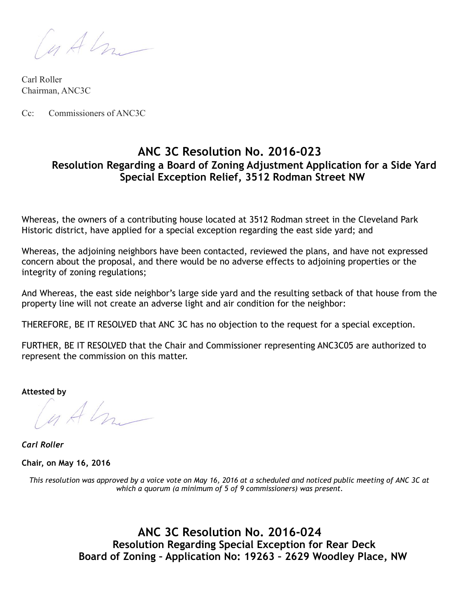Cutter

Carl Roller Chairman, ANC3C

Cc: Commissioners of ANC3C

# **ANC 3C Resolution No. 2016-023 Resolution Regarding a Board of Zoning Adjustment Application for a Side Yard Special Exception Relief, 3512 Rodman Street NW**

Whereas, the owners of a contributing house located at 3512 Rodman street in the Cleveland Park Historic district, have applied for a special exception regarding the east side yard; and

Whereas, the adjoining neighbors have been contacted, reviewed the plans, and have not expressed concern about the proposal, and there would be no adverse effects to adjoining properties or the integrity of zoning regulations;

And Whereas, the east side neighbor's large side yard and the resulting setback of that house from the property line will not create an adverse light and air condition for the neighbor:

THEREFORE, BE IT RESOLVED that ANC 3C has no objection to the request for a special exception.

FURTHER, BE IT RESOLVED that the Chair and Commissioner representing ANC3C05 are authorized to represent the commission on this matter.

**Attested by** 

 $lnAtn-$ 

*Carl Roller* 

**Chair, on May 16, 2016** 

*This resolution was approved by a voice vote on May 16, 2016 at a scheduled and noticed public meeting of ANC 3C at which a quorum (a minimum of 5 of 9 commissioners) was present.* 

> **ANC 3C Resolution No. 2016-024 Resolution Regarding Special Exception for Rear Deck Board of Zoning – Application No: 19263 – 2629 Woodley Place, NW**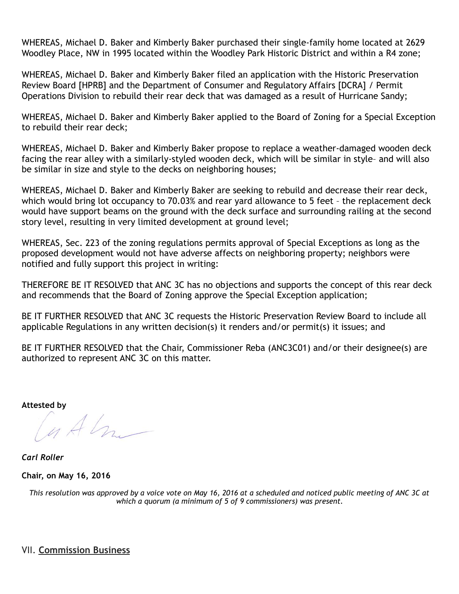WHEREAS, Michael D. Baker and Kimberly Baker purchased their single-family home located at 2629 Woodley Place, NW in 1995 located within the Woodley Park Historic District and within a R4 zone;

WHEREAS, Michael D. Baker and Kimberly Baker filed an application with the Historic Preservation Review Board [HPRB] and the Department of Consumer and Regulatory Affairs [DCRA] / Permit Operations Division to rebuild their rear deck that was damaged as a result of Hurricane Sandy;

WHEREAS, Michael D. Baker and Kimberly Baker applied to the Board of Zoning for a Special Exception to rebuild their rear deck;

WHEREAS, Michael D. Baker and Kimberly Baker propose to replace a weather-damaged wooden deck facing the rear alley with a similarly-styled wooden deck, which will be similar in style– and will also be similar in size and style to the decks on neighboring houses;

WHEREAS, Michael D. Baker and Kimberly Baker are seeking to rebuild and decrease their rear deck, which would bring lot occupancy to 70.03% and rear yard allowance to 5 feet – the replacement deck would have support beams on the ground with the deck surface and surrounding railing at the second story level, resulting in very limited development at ground level;

WHEREAS, Sec. 223 of the zoning regulations permits approval of Special Exceptions as long as the proposed development would not have adverse affects on neighboring property; neighbors were notified and fully support this project in writing:

THEREFORE BE IT RESOLVED that ANC 3C has no objections and supports the concept of this rear deck and recommends that the Board of Zoning approve the Special Exception application;

BE IT FURTHER RESOLVED that ANC 3C requests the Historic Preservation Review Board to include all applicable Regulations in any written decision(s) it renders and/or permit(s) it issues; and

BE IT FURTHER RESOLVED that the Chair, Commissioner Reba (ANC3C01) and/or their designee(s) are authorized to represent ANC 3C on this matter.

Attested by<br> *A*<br> *A* 

*Carl Roller* 

**Chair, on May 16, 2016** 

*This resolution was approved by a voice vote on May 16, 2016 at a scheduled and noticed public meeting of ANC 3C at which a quorum (a minimum of 5 of 9 commissioners) was present.*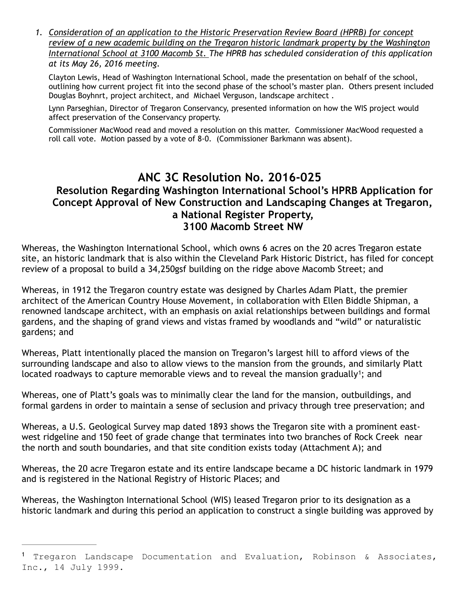*1. Consideration of an application to the Historic Preservation Review Board (HPRB) for concept review of a new academic building on the Tregaron historic landmark property by the Washington International School at 3100 Macomb St. The HPRB has scheduled consideration of this application at its May 26, 2016 meeting.* 

Clayton Lewis, Head of Washington International School, made the presentation on behalf of the school, outlining how current project fit into the second phase of the school's master plan. Others present included Douglas Boyhnrt, project architect, and Michael Verguson, landscape architect .

Lynn Parseghian, Director of Tregaron Conservancy, presented information on how the WIS project would affect preservation of the Conservancy property.

Commissioner MacWood read and moved a resolution on this matter. Commissioner MacWood requested a roll call vote. Motion passed by a vote of 8-0. (Commissioner Barkmann was absent).

# **ANC 3C Resolution No. 2016-025 Resolution Regarding Washington International School's HPRB Application for Concept Approval of New Construction and Landscaping Changes at Tregaron, a National Register Property, 3100 Macomb Street NW**

Whereas, the Washington International School, which owns 6 acres on the 20 acres Tregaron estate site, an historic landmark that is also within the Cleveland Park Historic District, has filed for concept review of a proposal to build a 34,250gsf building on the ridge above Macomb Street; and

Whereas, in 1912 the Tregaron country estate was designed by Charles Adam Platt, the premier architect of the American Country House Movement, in collaboration with Ellen Biddle Shipman, a renowned landscape architect, with an emphasis on axial relationships between buildings and formal gardens, and the shaping of grand views and vistas framed by woodlands and "wild" or naturalistic gardens; and

Whereas, Platt intentionally placed the mansion on Tregaron's largest hill to afford views of the surrounding landscape and also to allow views to the mansion from the grounds, and similarly Platt located roadways to capture memorable views and to reveal the mansion gradually<sup>1</sup>; and

Whereas, one of Platt's goals was to minimally clear the land for the mansion, outbuildings, and formal gardens in order to maintain a sense of seclusion and privacy through tree preservation; and

Whereas, a U.S. Geological Survey map dated 1893 shows the Tregaron site with a prominent eastwest ridgeline and 150 feet of grade change that terminates into two branches of Rock Creek near the north and south boundaries, and that site condition exists today (Attachment A); and

Whereas, the 20 acre Tregaron estate and its entire landscape became a DC historic landmark in 1979 and is registered in the National Registry of Historic Places; and

Whereas, the Washington International School (WIS) leased Tregaron prior to its designation as a historic landmark and during this period an application to construct a single building was approved by

Tregaron Landscape Documentation and Evaluation, Robinson & Associates, <sup>1</sup> Inc., 14 July 1999.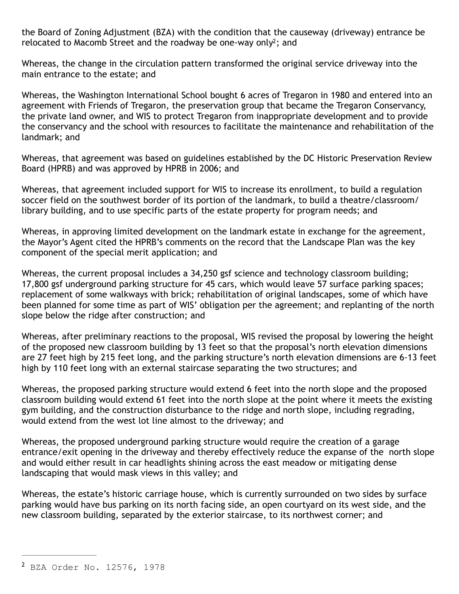the Board of Zoning Adjustment (BZA) with the condition that the causeway (driveway) entrance be relocated to Macomb Street and the roadway be one-way only<sup>2</sup>; and

Whereas, the change in the circulation pattern transformed the original service driveway into the main entrance to the estate; and

Whereas, the Washington International School bought 6 acres of Tregaron in 1980 and entered into an agreement with Friends of Tregaron, the preservation group that became the Tregaron Conservancy, the private land owner, and WIS to protect Tregaron from inappropriate development and to provide the conservancy and the school with resources to facilitate the maintenance and rehabilitation of the landmark; and

Whereas, that agreement was based on guidelines established by the DC Historic Preservation Review Board (HPRB) and was approved by HPRB in 2006; and

Whereas, that agreement included support for WIS to increase its enrollment, to build a regulation soccer field on the southwest border of its portion of the landmark, to build a theatre/classroom/ library building, and to use specific parts of the estate property for program needs; and

Whereas, in approving limited development on the landmark estate in exchange for the agreement, the Mayor's Agent cited the HPRB's comments on the record that the Landscape Plan was the key component of the special merit application; and

Whereas, the current proposal includes a 34,250 gsf science and technology classroom building; 17,800 gsf underground parking structure for 45 cars, which would leave 57 surface parking spaces; replacement of some walkways with brick; rehabilitation of original landscapes, some of which have been planned for some time as part of WIS' obligation per the agreement; and replanting of the north slope below the ridge after construction; and

Whereas, after preliminary reactions to the proposal, WIS revised the proposal by lowering the height of the proposed new classroom building by 13 feet so that the proposal's north elevation dimensions are 27 feet high by 215 feet long, and the parking structure's north elevation dimensions are 6-13 feet high by 110 feet long with an external staircase separating the two structures; and

Whereas, the proposed parking structure would extend 6 feet into the north slope and the proposed classroom building would extend 61 feet into the north slope at the point where it meets the existing gym building, and the construction disturbance to the ridge and north slope, including regrading, would extend from the west lot line almost to the driveway; and

Whereas, the proposed underground parking structure would require the creation of a garage entrance/exit opening in the driveway and thereby effectively reduce the expanse of the north slope and would either result in car headlights shining across the east meadow or mitigating dense landscaping that would mask views in this valley; and

Whereas, the estate's historic carriage house, which is currently surrounded on two sides by surface parking would have bus parking on its north facing side, an open courtyard on its west side, and the new classroom building, separated by the exterior staircase, to its northwest corner; and

<sup>&</sup>lt;sup>2</sup> BZA Order No. 12576, 1978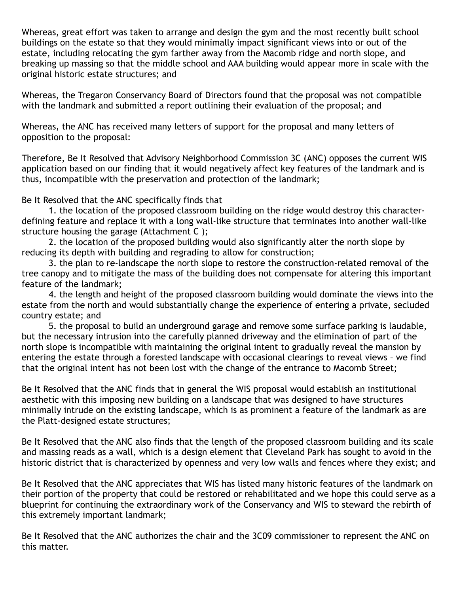Whereas, great effort was taken to arrange and design the gym and the most recently built school buildings on the estate so that they would minimally impact significant views into or out of the estate, including relocating the gym farther away from the Macomb ridge and north slope, and breaking up massing so that the middle school and AAA building would appear more in scale with the original historic estate structures; and

Whereas, the Tregaron Conservancy Board of Directors found that the proposal was not compatible with the landmark and submitted a report outlining their evaluation of the proposal; and

Whereas, the ANC has received many letters of support for the proposal and many letters of opposition to the proposal:

Therefore, Be It Resolved that Advisory Neighborhood Commission 3C (ANC) opposes the current WIS application based on our finding that it would negatively affect key features of the landmark and is thus, incompatible with the preservation and protection of the landmark;

Be It Resolved that the ANC specifically finds that

1. the location of the proposed classroom building on the ridge would destroy this characterdefining feature and replace it with a long wall-like structure that terminates into another wall-like structure housing the garage (Attachment C );

 2. the location of the proposed building would also significantly alter the north slope by reducing its depth with building and regrading to allow for construction;

 3. the plan to re-landscape the north slope to restore the construction-related removal of the tree canopy and to mitigate the mass of the building does not compensate for altering this important feature of the landmark;

 4. the length and height of the proposed classroom building would dominate the views into the estate from the north and would substantially change the experience of entering a private, secluded country estate; and

 5. the proposal to build an underground garage and remove some surface parking is laudable, but the necessary intrusion into the carefully planned driveway and the elimination of part of the north slope is incompatible with maintaining the original intent to gradually reveal the mansion by entering the estate through a forested landscape with occasional clearings to reveal views – we find that the original intent has not been lost with the change of the entrance to Macomb Street;

Be It Resolved that the ANC finds that in general the WIS proposal would establish an institutional aesthetic with this imposing new building on a landscape that was designed to have structures minimally intrude on the existing landscape, which is as prominent a feature of the landmark as are the Platt-designed estate structures;

Be It Resolved that the ANC also finds that the length of the proposed classroom building and its scale and massing reads as a wall, which is a design element that Cleveland Park has sought to avoid in the historic district that is characterized by openness and very low walls and fences where they exist; and

Be It Resolved that the ANC appreciates that WIS has listed many historic features of the landmark on their portion of the property that could be restored or rehabilitated and we hope this could serve as a blueprint for continuing the extraordinary work of the Conservancy and WIS to steward the rebirth of this extremely important landmark;

Be It Resolved that the ANC authorizes the chair and the 3C09 commissioner to represent the ANC on this matter.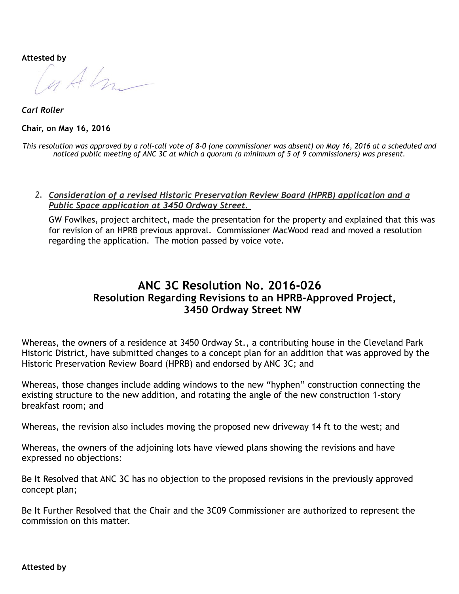Attested by<br> *A*<br> *A* 

*Carl Roller*  **Chair, on May 16, 2016** 

*This resolution was approved by a roll-call vote of 8-0 (one commissioner was absent) on May 16, 2016 at a scheduled and noticed public meeting of ANC 3C at which a quorum (a minimum of 5 of 9 commissioners) was present.* 

*2. Consideration of a revised Historic Preservation Review Board (HPRB) application and a Public Space application at 3450 Ordway Street.*

GW Fowlkes, project architect, made the presentation for the property and explained that this was for revision of an HPRB previous approval. Commissioner MacWood read and moved a resolution regarding the application. The motion passed by voice vote.

# **ANC 3C Resolution No. 2016-026 Resolution Regarding Revisions to an HPRB-Approved Project, 3450 Ordway Street NW**

Whereas, the owners of a residence at 3450 Ordway St., a contributing house in the Cleveland Park Historic District, have submitted changes to a concept plan for an addition that was approved by the Historic Preservation Review Board (HPRB) and endorsed by ANC 3C; and

Whereas, those changes include adding windows to the new "hyphen" construction connecting the existing structure to the new addition, and rotating the angle of the new construction 1-story breakfast room; and

Whereas, the revision also includes moving the proposed new driveway 14 ft to the west; and

Whereas, the owners of the adjoining lots have viewed plans showing the revisions and have expressed no objections:

Be It Resolved that ANC 3C has no objection to the proposed revisions in the previously approved concept plan;

Be It Further Resolved that the Chair and the 3C09 Commissioner are authorized to represent the commission on this matter.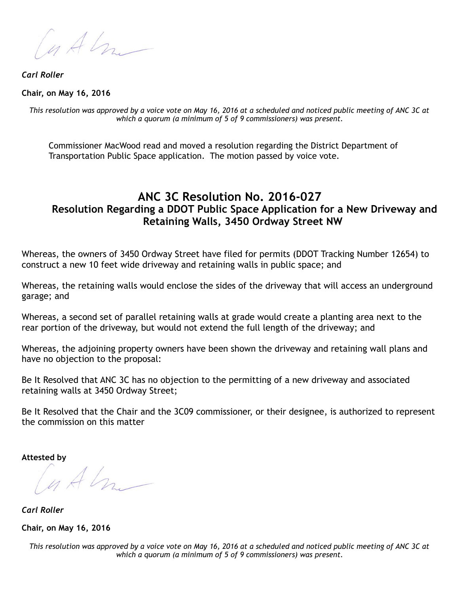Cuth

*Carl Roller* 

**Chair, on May 16, 2016** 

*This resolution was approved by a voice vote on May 16, 2016 at a scheduled and noticed public meeting of ANC 3C at which a quorum (a minimum of 5 of 9 commissioners) was present.* 

Commissioner MacWood read and moved a resolution regarding the District Department of Transportation Public Space application. The motion passed by voice vote.

# **ANC 3C Resolution No. 2016-027 Resolution Regarding a DDOT Public Space Application for a New Driveway and Retaining Walls, 3450 Ordway Street NW**

Whereas, the owners of 3450 Ordway Street have filed for permits (DDOT Tracking Number 12654) to construct a new 10 feet wide driveway and retaining walls in public space; and

Whereas, the retaining walls would enclose the sides of the driveway that will access an underground garage; and

Whereas, a second set of parallel retaining walls at grade would create a planting area next to the rear portion of the driveway, but would not extend the full length of the driveway; and

Whereas, the adjoining property owners have been shown the driveway and retaining wall plans and have no objection to the proposal:

Be It Resolved that ANC 3C has no objection to the permitting of a new driveway and associated retaining walls at 3450 Ordway Street;

Be It Resolved that the Chair and the 3C09 commissioner, or their designee, is authorized to represent the commission on this matter

**Attested by** 

 $lnAtn-$ 

*Carl Roller*  **Chair, on May 16, 2016** 

*This resolution was approved by a voice vote on May 16, 2016 at a scheduled and noticed public meeting of ANC 3C at which a quorum (a minimum of 5 of 9 commissioners) was present.*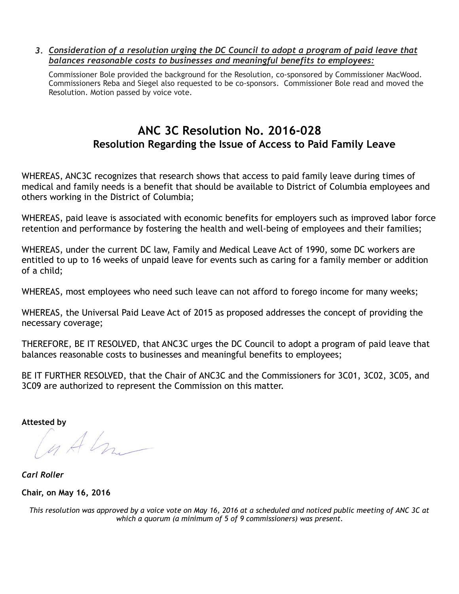*3. Consideration of a resolution urging the DC Council to adopt a program of paid leave that balances reasonable costs to businesses and meaningful benefits to employees:* 

Commissioner Bole provided the background for the Resolution, co-sponsored by Commissioner MacWood. Commissioners Reba and Siegel also requested to be co-sponsors. Commissioner Bole read and moved the Resolution. Motion passed by voice vote.

# **ANC 3C Resolution No. 2016-028 Resolution Regarding the Issue of Access to Paid Family Leave**

WHEREAS, ANC3C recognizes that research shows that access to paid family leave during times of medical and family needs is a benefit that should be available to District of Columbia employees and others working in the District of Columbia;

WHEREAS, paid leave is associated with economic benefits for employers such as improved labor force retention and performance by fostering the health and well-being of employees and their families;

WHEREAS, under the current DC law, Family and Medical Leave Act of 1990, some DC workers are entitled to up to 16 weeks of unpaid leave for events such as caring for a family member or addition of a child;

WHEREAS, most employees who need such leave can not afford to forego income for many weeks;

WHEREAS, the Universal Paid Leave Act of 2015 as proposed addresses the concept of providing the necessary coverage;

THEREFORE, BE IT RESOLVED, that ANC3C urges the DC Council to adopt a program of paid leave that balances reasonable costs to businesses and meaningful benefits to employees;

BE IT FURTHER RESOLVED, that the Chair of ANC3C and the Commissioners for 3C01, 3C02, 3C05, and 3C09 are authorized to represent the Commission on this matter.

**Attested by** 

 $lnAtn-$ 

*Carl Roller*  **Chair, on May 16, 2016** 

*This resolution was approved by a voice vote on May 16, 2016 at a scheduled and noticed public meeting of ANC 3C at which a quorum (a minimum of 5 of 9 commissioners) was present.*